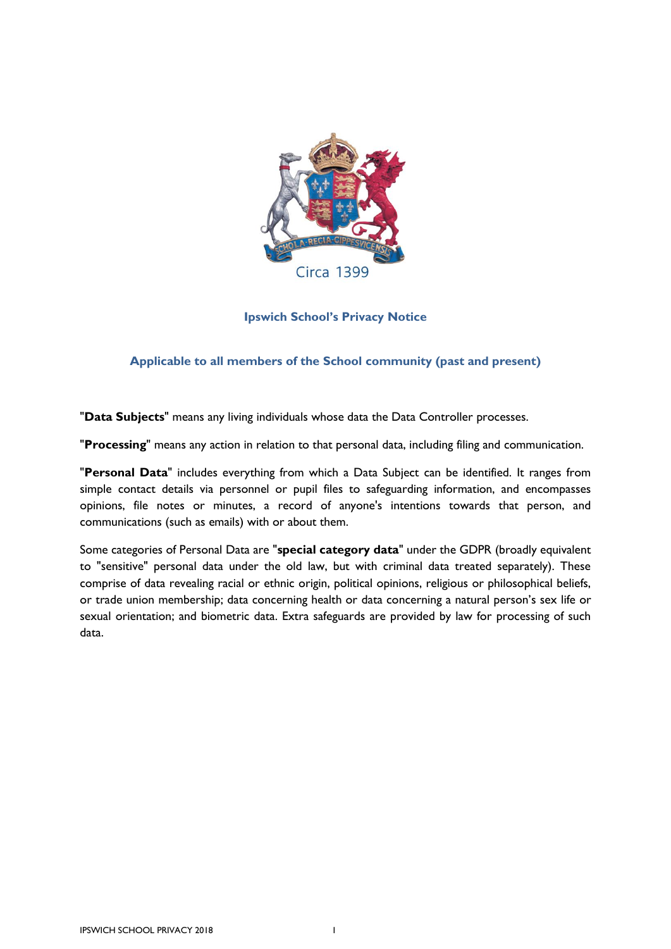

**Ipswich School's Privacy Notice**

# <span id="page-0-0"></span>**Applicable to all members of the School community (past and present)**

"**Data Subjects**" means any living individuals whose data the Data Controller processes.

"**Processing**" means any action in relation to that personal data, including filing and communication.

"**Personal Data**" includes everything from which a Data Subject can be identified. It ranges from simple contact details via personnel or pupil files to safeguarding information, and encompasses opinions, file notes or minutes, a record of anyone's intentions towards that person, and communications (such as emails) with or about them.

Some categories of Personal Data are "**special category data**" under the GDPR (broadly equivalent to "sensitive" personal data under the old law, but with criminal data treated separately). These comprise of data revealing racial or ethnic origin, political opinions, religious or philosophical beliefs, or trade union membership; data concerning health or data concerning a natural person's sex life or sexual orientation; and biometric data. Extra safeguards are provided by law for processing of such data.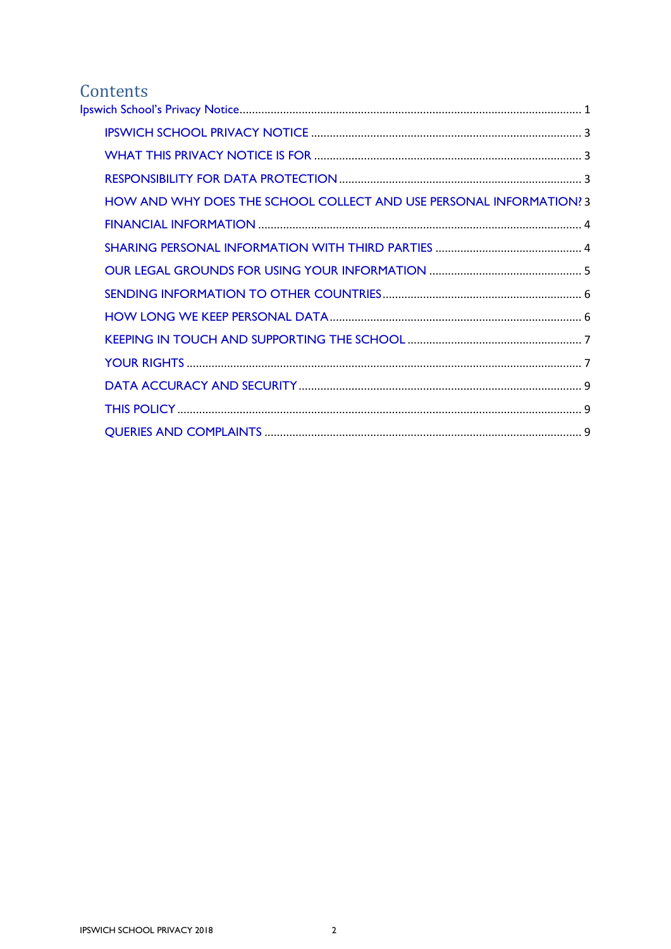# Contents

| <b>HOW AND WHY DOES THE SCHOOL COLLECT AND USE PERSONAL INFORMATION? 3</b> |
|----------------------------------------------------------------------------|
|                                                                            |
|                                                                            |
|                                                                            |
|                                                                            |
|                                                                            |
|                                                                            |
|                                                                            |
|                                                                            |
|                                                                            |
|                                                                            |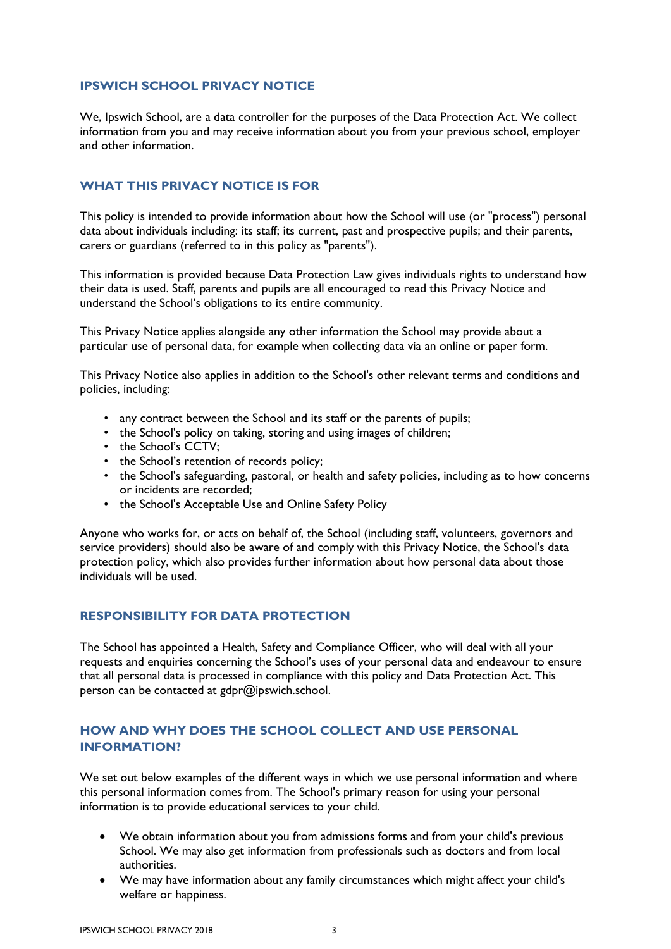# <span id="page-2-0"></span>**IPSWICH SCHOOL PRIVACY NOTICE**

We, Ipswich School, are a data controller for the purposes of the Data Protection Act. We collect information from you and may receive information about you from your previous school, employer and other information.

# <span id="page-2-1"></span>**WHAT THIS PRIVACY NOTICE IS FOR**

This policy is intended to provide information about how the School will use (or "process") personal data about individuals including: its staff; its current, past and prospective pupils; and their parents, carers or guardians (referred to in this policy as "parents").

This information is provided because Data Protection Law gives individuals rights to understand how their data is used. Staff, parents and pupils are all encouraged to read this Privacy Notice and understand the School's obligations to its entire community.

This Privacy Notice applies alongside any other information the School may provide about a particular use of personal data, for example when collecting data via an online or paper form.

This Privacy Notice also applies in addition to the School's other relevant terms and conditions and policies, including:

- any contract between the School and its staff or the parents of pupils;
- the School's policy on taking, storing and using images of children;
- the School's CCTV;
- the School's retention of records policy;
- the School's safeguarding, pastoral, or health and safety policies, including as to how concerns or incidents are recorded;
- the School's Acceptable Use and Online Safety Policy

Anyone who works for, or acts on behalf of, the School (including staff, volunteers, governors and service providers) should also be aware of and comply with this Privacy Notice, the School's data protection policy, which also provides further information about how personal data about those individuals will be used.

### <span id="page-2-2"></span>**RESPONSIBILITY FOR DATA PROTECTION**

The School has appointed a Health, Safety and Compliance Officer, who will deal with all your requests and enquiries concerning the School's uses of your personal data and endeavour to ensure that all personal data is processed in compliance with this policy and Data Protection Act. This person can be contacted at gdpr@ipswich.school.

# <span id="page-2-3"></span>**HOW AND WHY DOES THE SCHOOL COLLECT AND USE PERSONAL INFORMATION?**

We set out below examples of the different ways in which we use personal information and where this personal information comes from. The School's primary reason for using your personal information is to provide educational services to your child.

- We obtain information about you from admissions forms and from your child's previous School. We may also get information from professionals such as doctors and from local authorities.
- We may have information about any family circumstances which might affect your child's welfare or happiness.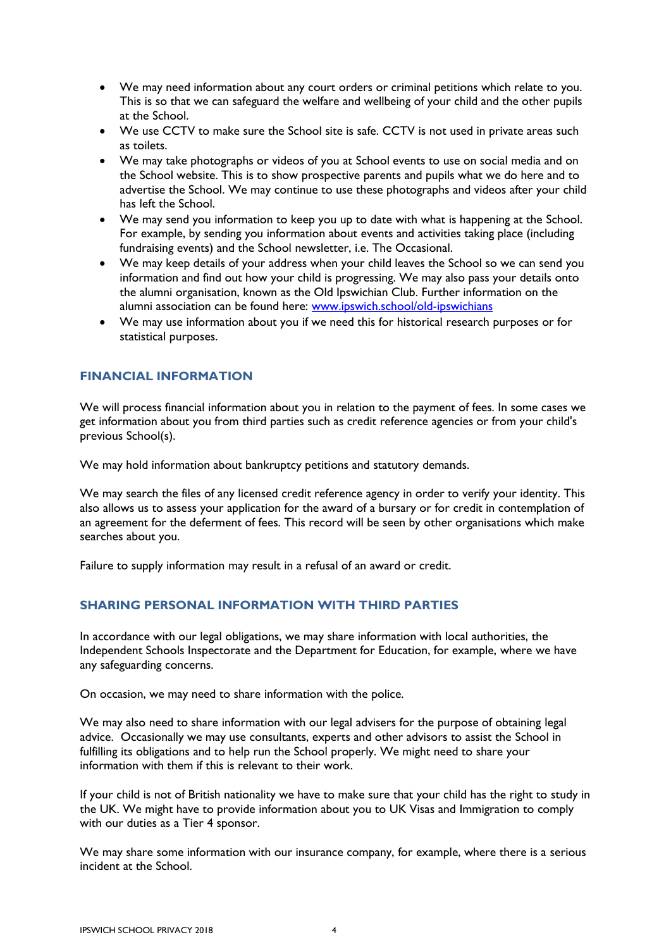- We may need information about any court orders or criminal petitions which relate to you. This is so that we can safeguard the welfare and wellbeing of your child and the other pupils at the School.
- We use CCTV to make sure the School site is safe. CCTV is not used in private areas such as toilets.
- We may take photographs or videos of you at School events to use on social media and on the School website. This is to show prospective parents and pupils what we do here and to advertise the School. We may continue to use these photographs and videos after your child has left the School.
- We may send you information to keep you up to date with what is happening at the School. For example, by sending you information about events and activities taking place (including fundraising events) and the School newsletter, i.e. The Occasional.
- We may keep details of your address when your child leaves the School so we can send you information and find out how your child is progressing. We may also pass your details onto the alumni organisation, known as the Old Ipswichian Club. Further information on the alumni association can be found here: [www.ipswich.school/old-ipswichians](http://www.ipswich.school/old-ipswichians)
- We may use information about you if we need this for historical research purposes or for statistical purposes.

# <span id="page-3-0"></span>**FINANCIAL INFORMATION**

We will process financial information about you in relation to the payment of fees. In some cases we get information about you from third parties such as credit reference agencies or from your child's previous School(s).

We may hold information about bankruptcy petitions and statutory demands.

We may search the files of any licensed credit reference agency in order to verify your identity. This also allows us to assess your application for the award of a bursary or for credit in contemplation of an agreement for the deferment of fees. This record will be seen by other organisations which make searches about you.

Failure to supply information may result in a refusal of an award or credit.

### <span id="page-3-1"></span>**SHARING PERSONAL INFORMATION WITH THIRD PARTIES**

In accordance with our legal obligations, we may share information with local authorities, the Independent Schools Inspectorate and the Department for Education, for example, where we have any safeguarding concerns.

On occasion, we may need to share information with the police.

We may also need to share information with our legal advisers for the purpose of obtaining legal advice. Occasionally we may use consultants, experts and other advisors to assist the School in fulfilling its obligations and to help run the School properly. We might need to share your information with them if this is relevant to their work.

If your child is not of British nationality we have to make sure that your child has the right to study in the UK. We might have to provide information about you to UK Visas and Immigration to comply with our duties as a Tier 4 sponsor.

We may share some information with our insurance company, for example, where there is a serious incident at the School.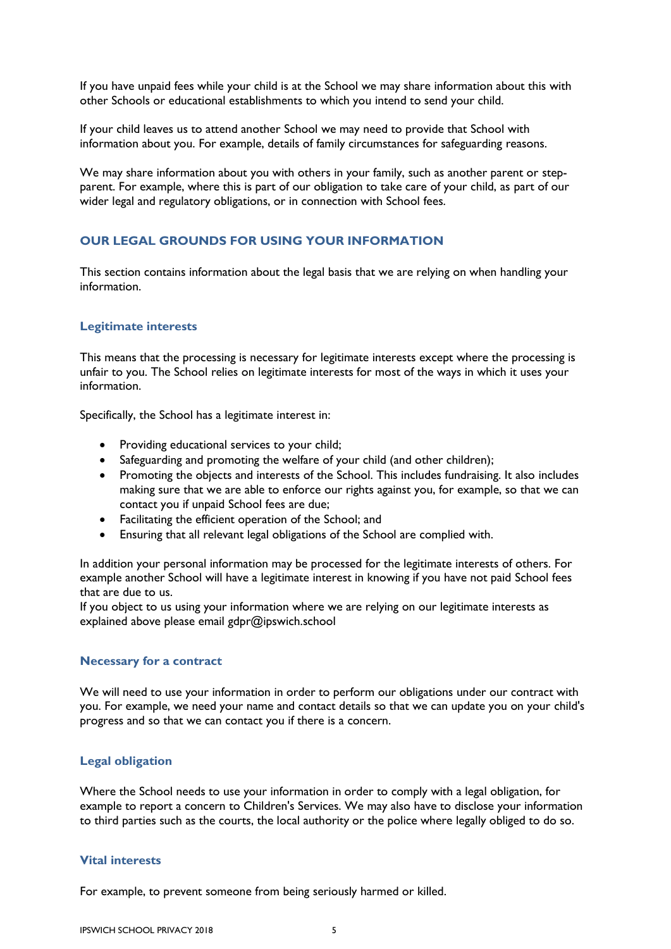If you have unpaid fees while your child is at the School we may share information about this with other Schools or educational establishments to which you intend to send your child.

If your child leaves us to attend another School we may need to provide that School with information about you. For example, details of family circumstances for safeguarding reasons.

We may share information about you with others in your family, such as another parent or stepparent. For example, where this is part of our obligation to take care of your child, as part of our wider legal and regulatory obligations, or in connection with School fees.

# <span id="page-4-0"></span>**OUR LEGAL GROUNDS FOR USING YOUR INFORMATION**

This section contains information about the legal basis that we are relying on when handling your information.

### **Legitimate interests**

This means that the processing is necessary for legitimate interests except where the processing is unfair to you. The School relies on legitimate interests for most of the ways in which it uses your information.

Specifically, the School has a legitimate interest in:

- Providing educational services to your child;
- Safeguarding and promoting the welfare of your child (and other children);
- Promoting the objects and interests of the School. This includes fundraising. It also includes making sure that we are able to enforce our rights against you, for example, so that we can contact you if unpaid School fees are due;
- Facilitating the efficient operation of the School; and
- Ensuring that all relevant legal obligations of the School are complied with.

In addition your personal information may be processed for the legitimate interests of others. For example another School will have a legitimate interest in knowing if you have not paid School fees that are due to us.

If you object to us using your information where we are relying on our legitimate interests as explained above please email gdpr@ipswich.school

#### **Necessary for a contract**

We will need to use your information in order to perform our obligations under our contract with you. For example, we need your name and contact details so that we can update you on your child's progress and so that we can contact you if there is a concern.

### **Legal obligation**

Where the School needs to use your information in order to comply with a legal obligation, for example to report a concern to Children's Services. We may also have to disclose your information to third parties such as the courts, the local authority or the police where legally obliged to do so.

#### **Vital interests**

For example, to prevent someone from being seriously harmed or killed.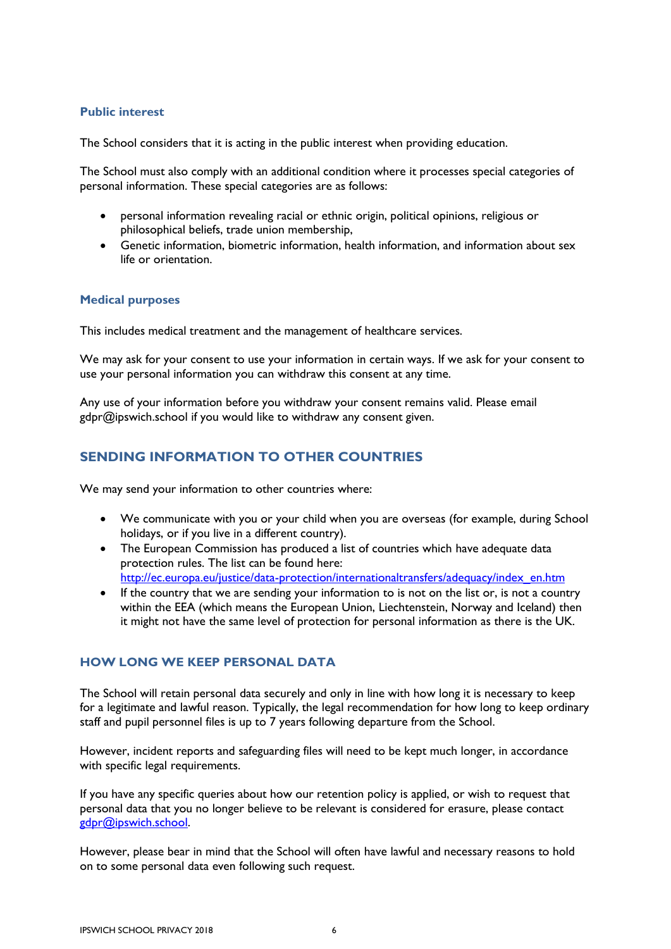# **Public interest**

The School considers that it is acting in the public interest when providing education.

The School must also comply with an additional condition where it processes special categories of personal information. These special categories are as follows:

- personal information revealing racial or ethnic origin, political opinions, religious or philosophical beliefs, trade union membership,
- Genetic information, biometric information, health information, and information about sex life or orientation.

## **Medical purposes**

This includes medical treatment and the management of healthcare services.

We may ask for your consent to use your information in certain ways. If we ask for your consent to use your personal information you can withdraw this consent at any time.

Any use of your information before you withdraw your consent remains valid. Please email gdpr@ipswich.school if you would like to withdraw any consent given.

# <span id="page-5-0"></span>**SENDING INFORMATION TO OTHER COUNTRIES**

We may send your information to other countries where:

- We communicate with you or your child when you are overseas (for example, during School holidays, or if you live in a different country).
- The European Commission has produced a list of countries which have adequate data protection rules. The list can be found here: [http://ec.europa.eu/justice/data-protection/internationaltransfers/adequacy/index\\_en.htm](http://ec.europa.eu/justice/data-protection/internationaltransfers/adequacy/index_en.htm)
- If the country that we are sending your information to is not on the list or, is not a country within the EEA (which means the European Union, Liechtenstein, Norway and Iceland) then it might not have the same level of protection for personal information as there is the UK.

# <span id="page-5-1"></span>**HOW LONG WE KEEP PERSONAL DATA**

The School will retain personal data securely and only in line with how long it is necessary to keep for a legitimate and lawful reason. Typically, the legal recommendation for how long to keep ordinary staff and pupil personnel files is up to 7 years following departure from the School.

However, incident reports and safeguarding files will need to be kept much longer, in accordance with specific legal requirements.

If you have any specific queries about how our retention policy is applied, or wish to request that personal data that you no longer believe to be relevant is considered for erasure, please contact [gdpr@ipswich.school.](mailto:gdpr@ipswich.school)

However, please bear in mind that the School will often have lawful and necessary reasons to hold on to some personal data even following such request.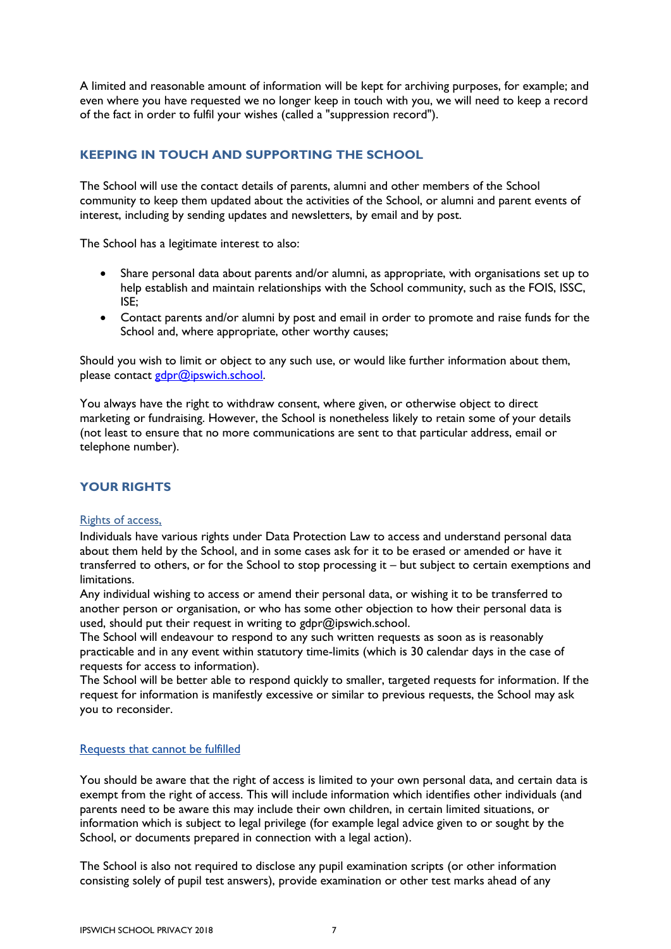A limited and reasonable amount of information will be kept for archiving purposes, for example; and even where you have requested we no longer keep in touch with you, we will need to keep a record of the fact in order to fulfil your wishes (called a "suppression record").

# <span id="page-6-0"></span>**KEEPING IN TOUCH AND SUPPORTING THE SCHOOL**

The School will use the contact details of parents, alumni and other members of the School community to keep them updated about the activities of the School, or alumni and parent events of interest, including by sending updates and newsletters, by email and by post.

The School has a legitimate interest to also:

- Share personal data about parents and/or alumni, as appropriate, with organisations set up to help establish and maintain relationships with the School community, such as the FOIS, ISSC, ISE;
- Contact parents and/or alumni by post and email in order to promote and raise funds for the School and, where appropriate, other worthy causes;

Should you wish to limit or object to any such use, or would like further information about them, please contact [gdpr@ipswich.school.](mailto:gdpr@ipswich.school)

You always have the right to withdraw consent, where given, or otherwise object to direct marketing or fundraising. However, the School is nonetheless likely to retain some of your details (not least to ensure that no more communications are sent to that particular address, email or telephone number).

### <span id="page-6-1"></span>**YOUR RIGHTS**

### Rights of access,

Individuals have various rights under Data Protection Law to access and understand personal data about them held by the School, and in some cases ask for it to be erased or amended or have it transferred to others, or for the School to stop processing it – but subject to certain exemptions and limitations.

Any individual wishing to access or amend their personal data, or wishing it to be transferred to another person or organisation, or who has some other objection to how their personal data is used, should put their request in writing to gdpr@ipswich.school.

The School will endeavour to respond to any such written requests as soon as is reasonably practicable and in any event within statutory time-limits (which is 30 calendar days in the case of requests for access to information).

The School will be better able to respond quickly to smaller, targeted requests for information. If the request for information is manifestly excessive or similar to previous requests, the School may ask you to reconsider.

### Requests that cannot be fulfilled

You should be aware that the right of access is limited to your own personal data, and certain data is exempt from the right of access. This will include information which identifies other individuals (and parents need to be aware this may include their own children, in certain limited situations, or information which is subject to legal privilege (for example legal advice given to or sought by the School, or documents prepared in connection with a legal action).

The School is also not required to disclose any pupil examination scripts (or other information consisting solely of pupil test answers), provide examination or other test marks ahead of any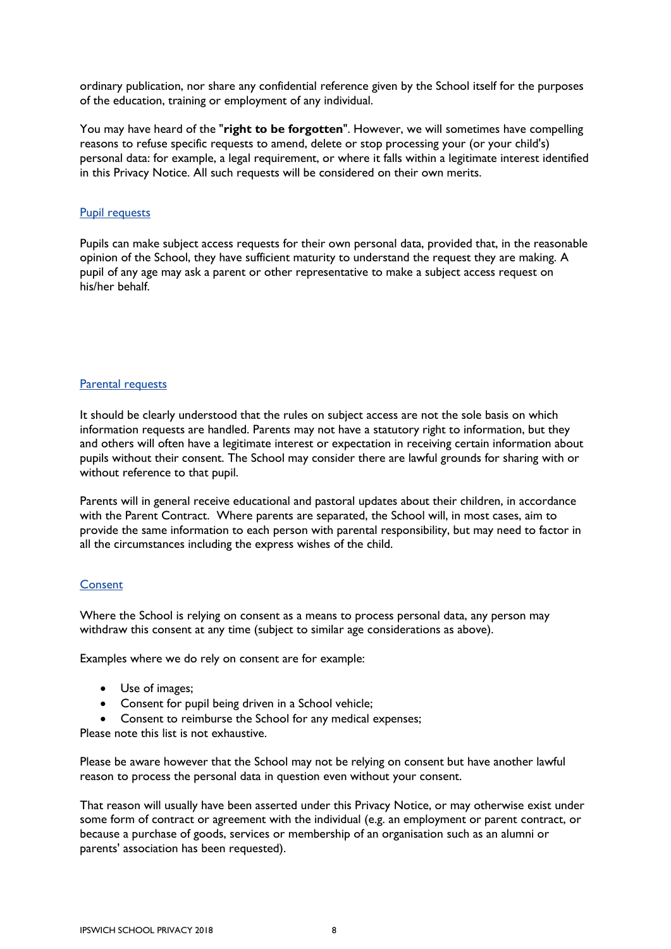ordinary publication, nor share any confidential reference given by the School itself for the purposes of the education, training or employment of any individual.

You may have heard of the "**right to be forgotten**". However, we will sometimes have compelling reasons to refuse specific requests to amend, delete or stop processing your (or your child's) personal data: for example, a legal requirement, or where it falls within a legitimate interest identified in this Privacy Notice. All such requests will be considered on their own merits.

### Pupil requests

Pupils can make subject access requests for their own personal data, provided that, in the reasonable opinion of the School, they have sufficient maturity to understand the request they are making. A pupil of any age may ask a parent or other representative to make a subject access request on his/her behalf.

### Parental requests

It should be clearly understood that the rules on subject access are not the sole basis on which information requests are handled. Parents may not have a statutory right to information, but they and others will often have a legitimate interest or expectation in receiving certain information about pupils without their consent. The School may consider there are lawful grounds for sharing with or without reference to that pupil.

Parents will in general receive educational and pastoral updates about their children, in accordance with the Parent Contract. Where parents are separated, the School will, in most cases, aim to provide the same information to each person with parental responsibility, but may need to factor in all the circumstances including the express wishes of the child.

### **Consent**

Where the School is relying on consent as a means to process personal data, any person may withdraw this consent at any time (subject to similar age considerations as above).

Examples where we do rely on consent are for example:

- Use of images;
- Consent for pupil being driven in a School vehicle;
- Consent to reimburse the School for any medical expenses;

Please note this list is not exhaustive.

Please be aware however that the School may not be relying on consent but have another lawful reason to process the personal data in question even without your consent.

That reason will usually have been asserted under this Privacy Notice, or may otherwise exist under some form of contract or agreement with the individual (e.g. an employment or parent contract, or because a purchase of goods, services or membership of an organisation such as an alumni or parents' association has been requested).